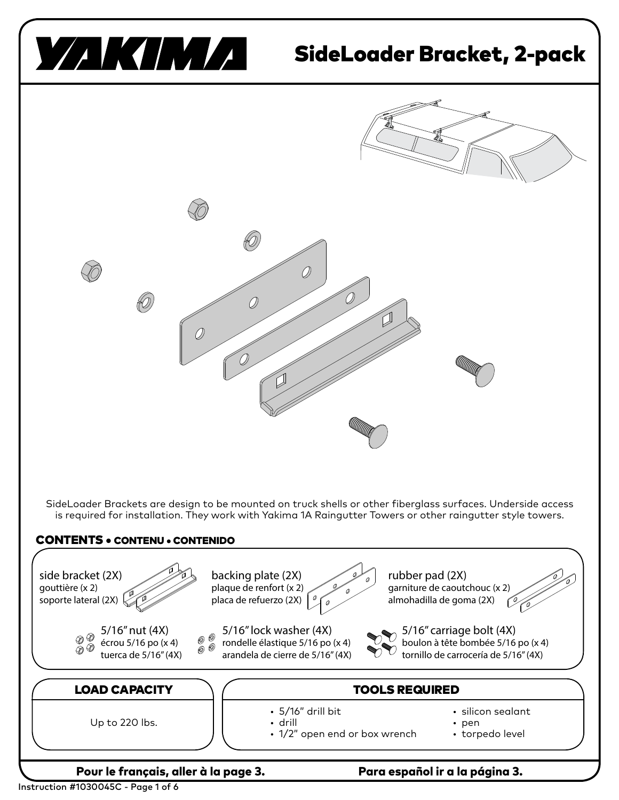



Instruction #1030045C - Page 1 of 6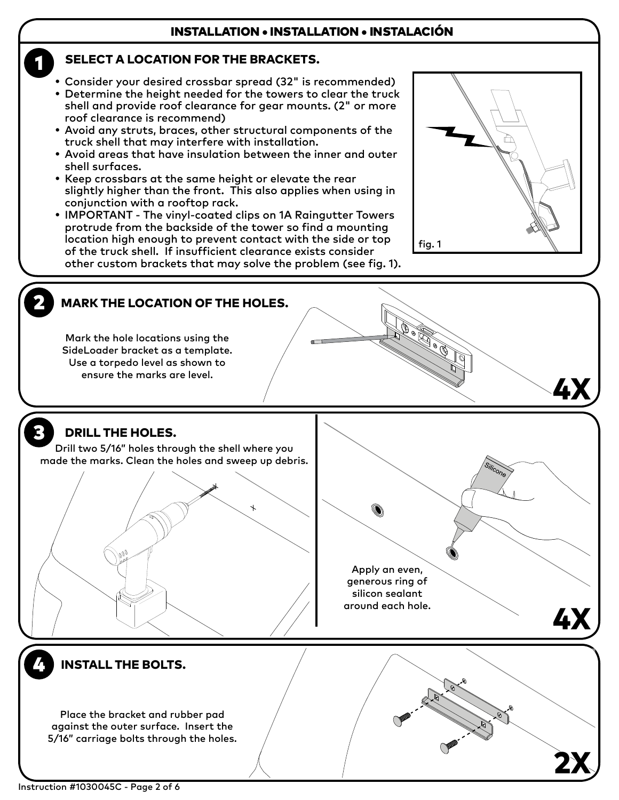## INSTALLATION • INSTALLATION • INSTALACIÓN

### **SELECT A LOCATION FOR THE BRACKETS.**

- Consider your desired crossbar spread (32" is recommended)
- Determine the height needed for the towers to clear the truck shell and provide roof clearance for gear mounts. (2" or more roof clearance is recommend)
- Avoid any struts, braces, other structural components of the truck shell that may interfere with installation.
- $\bullet$  Avoid areas that have insulation between the inner and outer shell surfaces.
- Keep crossbars at the same height or elevate the rear slightly higher than the front. This also applies when using in conjunction with a rooftop rack.
- IMPORTANT The vinyl-coated clips on 1A Raingutter Towers protrude from the backside of the tower so find a mounting location high enough to prevent contact with the side or top of the truck shell. If insufficient clearance exists consider other custom brackets that may solve the problem (see fig. 1).



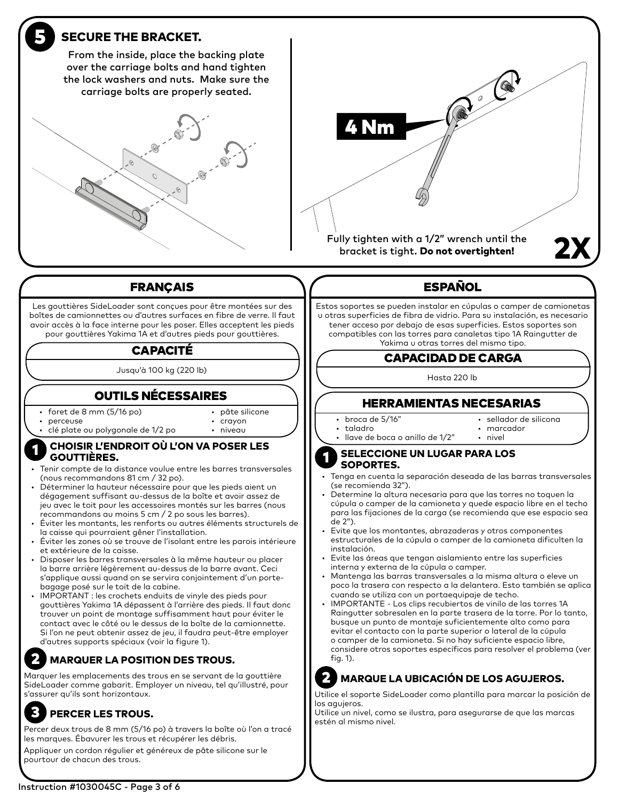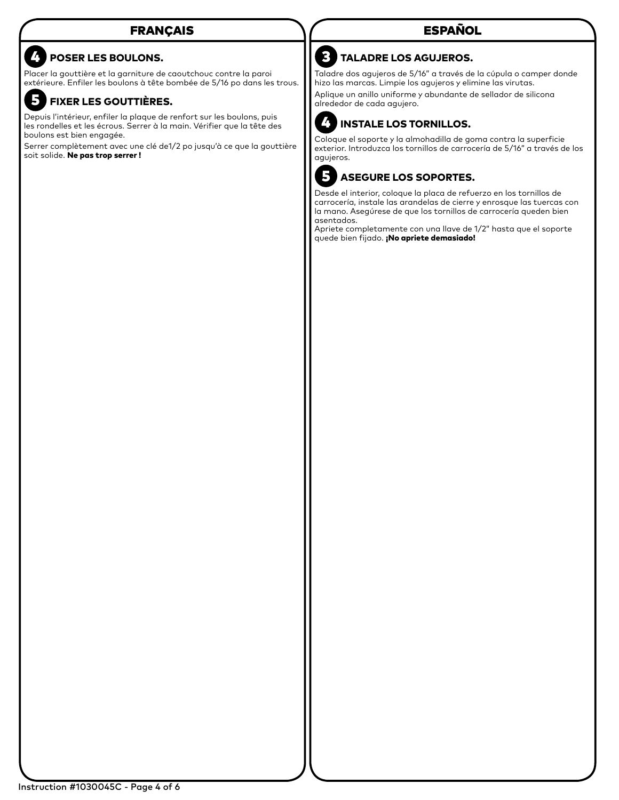### **FRANÇAIS**

## 21 POSER LES BOULONS.

Placer la gouttière et la garniture de caoutchouc contre la paroi extérieure. Enfiler les boulons à tête bombée de 5/16 po dans les trous.

#### 5 FIXER LES GOUTTIÈRES.

Depuis l'intérieur, enfiler la plaque de renfort sur les boulons, puis les rondelles et les écrous. Serrer à la main. Vérifier que la tête des boulons est bien engagée.

Serrer complètement avec une clé de1/2 po jusqu'à ce que la gouttière soit solide. Ne pas trop serrer!

## **ESPAÑOL**

# $\overline{\mathbf{3}}$

## TALADRE LOS AGUJEROS.

Taladre dos agujeros de 5/16" a través de la cúpula o camper donde hizo las marcas. Limpie los agujeros y elimine las virutas. Aplique un anillo uniforme y abundante de sellador de silicona alrededor de cada agujero.



### **INSTALE LOS TORNILLOS.**

Coloque el soporte y la almohadilla de goma contra la superficie exterior. Introduzca los tornillos de carrocería de 5/16" a través de los aavieros.



Desde el interior, coloque la placa de refuerzo en los tornillos de carrocería, instale las arandelas de cierre y enrosque las tuercas con la mano. Asegúrese de que los tornillos de carrocería queden bien asentados.

Apriete completamente con una llave de 1/2" hasta que el soporte quede bien fijado. ¡No apriete demasiado!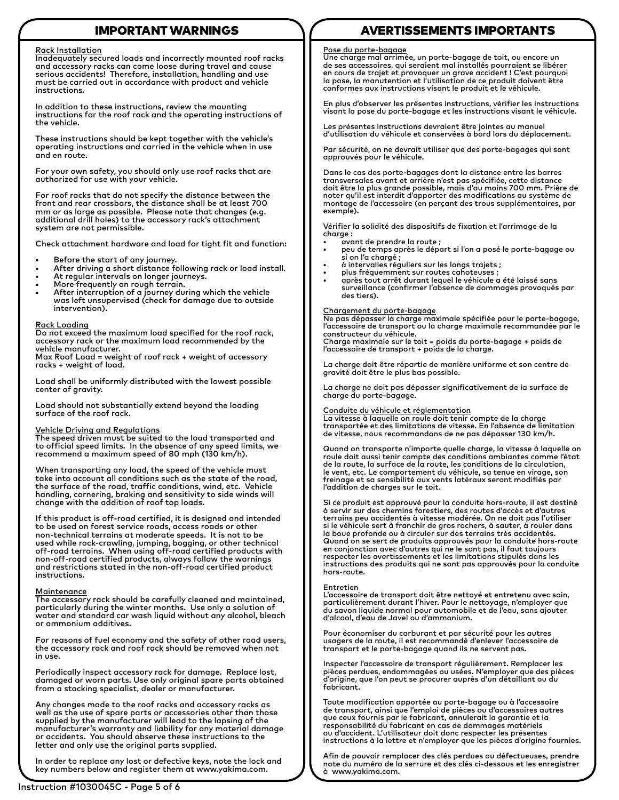### Rack Installation

Inadequately secured loads and incorrectly mounted roof racks and accessory racks can come loose during travel and cause serious accidents! Therefore, installation, handling and use must be carried out in accordance with product and vehicle instructions.

In addition to these instructions, review the mounting instructions for the roof rack and the operating instructions of the vehicle.

These instructions should be kept together with the vehicle's operating instructions and carried in the vehicle when in use and en route.

For your own safety, you should only use roof racks that are authorized for use with your vehicle.

For roof racks that do not specify the distance between the front and rear crossbars, the distance shall be at least 700 mm or as large as possible. Please note that changes (e.g. additional drill holes) to the accessory rack's attachment system are not permissible.

Check attachment hardware and load for tight fit and function:

- 
- Before the start of any journey.<br>After driving a short distance following rack or load install.<br>At regular intervals on longer journeys.<br>More frequently on rough terrain.
- 
- 
- After interruption of a journey during which the vehicle<br>was left unsupervised (check for damage due to outside intervention).

#### Rack Loading

Do not exceed the maximum load specified for the roof rack, accessory rack or the maximum load recommended by the vehicle manufacturer.

Max Roof Load = weight of roof rack + weight of accessory racks + weight of load.

Load shall be uniformly distributed with the lowest possible center of gravity.

Load should not substantially extend beyond the loading surface of the roof rack.

### Vehicle Driving and Regulations

The speed driven must be suited to the load transported and to official speed limits. In the absence of any speed limits, we recommend a maximum speed of 80 mph (130 km/h).

When transporting any load, the speed of the vehicle must take into account all conditions such as the state of the road, the surface of the road, traffic conditions, wind, etc. Vehicle handling, cornering, braking and sensitivity to side winds will change with the addition of roof top loads.

If this product is off-road certified, it is designed and intended to be used on forest service roads, access roads or other non-technical terrains at moderate speeds. It is not to be used while rock-crawling, jumping, bogging, or other technical off-road terrains. When using off-road certified products with non-off-road certified products, always follow the warnings and restrictions stated in the non-off-road certified product instructions.

#### **Maintenance**

The accessory rack should be carefully cleaned and maintained, particularly during the winter months. Use only a solution of water and standard car wash liquid without any alcohol, bleach or ammonium additives.

For reasons of fuel economy and the safety of other road users, the accessory rack and roof rack should be removed when not in use.

Periodically inspect accessory rack for damage. Replace lost, damaged or worn parts. Use only original spare parts obtained from a stocking specialist, dealer or manufacturer.

Any changes made to the roof racks and accessory racks as well as the use of spare parts or accessories other than those supplied by the manufacturer will lead to the lapsing of the manufacturer's warranty and liability for any material damage or accidents. You should observe these instructions to the letter and only use the original parts supplied.

In order to replace any lost or defective keys, note the lock and key numbers below and register them at www.yakima.com.

### $\sqrt{100}$  important warnings  $\sqrt{100}$  avertissements importants

### Pose du porte-bagage

Une charge mal arrimée, un porte-bagage de toit, ou encore un de ses accessoires, qui seraient mal installés pourraient se libérer en cours de trajet et provoquer un grave accident ! C'est pourquoi la pose, la manutention et l'utilisation de ce produit doivent être conformes aux instructions visant le produit et le véhicule.

En plus d'observer les présentes instructions, vérifier les instructions visant la pose du porte-bagage et les instructions visant le véhicule.

Les présentes instructions devraient être jointes au manuel d'utilisation du véhicule et conservées à bord lors du déplacement.

Par sécurité, on ne devrait utiliser que des porte-bagages qui sont approuvés pour le véhicule.

Dans le cas des porte-bagages dont la distance entre les barres transversales avant et arrière n'est pas spécifiée, cette distance doit être la plus grande possible, mais d'au moins 700 mm. Prière de noter qu'il est interdit d'apporter des modifications au système de montage de l'accessoire (en perçant des trous supplémentaires, par exemple).

Vérifier la solidité des dispositifs de fixation et l'arrimage de la charge :<br>• avant de prendre la route ;

- 
- peu de temps après le départ si l'on a posé le porte-bagage ou si on l'a chargé ;<br>à intervalles réguliers sur les longs trajets ;
- 
- plus fréquemment sur routes cahoteuses ;<br>après tout arrêt durant lequel le véhicule a été laissé sans
- surveillance (confirmer l'absence de dommages provoqués par des tiers).

Chargement du porte-bagage Ne pas dépasser la charge maximale spécifiée pour le porte-bagage, l'accessoire de transport ou la charge maximale recommandée par le constructeur du véhicule.

Charge maximale sur le toit = poids du porte-bagage + poids de l'accessoire de transport + poids de la charge.

La charge doit être répartie de manière uniforme et son centre de gravité doit être le plus bas possible.

La charge ne doit pas dépasser significativement de la surface de charge du porte-bagage.

Conduite du véhicule et réglementation La vitesse à laquelle on roule doit tenir compte de la charge transportée et des limitations de vitesse. En l'absence de limitation de vitesse, nous recommandons de ne pas dépasser 130 km/h.

Quand on transporte n'importe quelle charge, la vitesse à laquelle on roule doit aussi tenir compte des conditions ambiantes comme l'état de la route, la surface de la route, les conditions de la circulation, le vent, etc. Le comportement du véhicule, sa tenue en virage, son freinage et sa sensibilité aux vents latéraux seront modifiés par l'addition de charges sur le toit.

Si ce produit est approuvé pour la conduite hors-route, il est destiné à servir sur des chemins forestiers, des routes d'accès et d'autres terrains peu accidentés à vitesse modérée. On ne doit pas l'utiliser si le véhicule sert à franchir de gros rochers, à sauter, à rouler dans la boue profonde ou à circuler sur des terrains très accidentés. Quand on se sert de produits approuvés pour la conduite hors-route en conjonction avec d'autres qui ne le sont pas, il faut toujours respecter les avertissements et les limitations stipulés dans les instructions des produits qui ne sont pas approuvés pour la conduite hors-route.

#### Entretien

L'accessoire de transport doit être nettoyé et entretenu avec soin, particulièrement durant l'hiver. Pour le nettoyage, n'employer que du savon liquide normal pour automobile et de l'eau, sans ajouter d'alcool, d'eau de Javel ou d'ammonium.

Pour économiser du carburant et par sécurité pour les autres usagers de la route, il est recommandé d'enlever l'accessoire de transport et le porte-bagage quand ils ne servent pas.

Inspecter l'accessoire de transport régulièrement. Remplacer les pièces perdues, endommagées ou usées. N'employer que des pièces d'origine, que l'on peut se procurer auprès d'un détaillant ou du fabricant.

Toute modification apportée au porte-bagage ou à l'accessoire de transport, ainsi que l'emploi de pièces ou d'accessoires autres que ceux fournis par le fabricant, annulerait la garantie et la responsabilité du fabricant en cas de dommages matériels ou d'accident. L'utilisateur doit donc respecter les présentes instructions à la lettre et n'employer que les pièces d'origine fournies.

Afin de pouvoir remplacer des clés perdues ou défectueuses, prendre note du numéro de la serrure et des clés ci-dessous et les enregistrer à www.yakima.com.